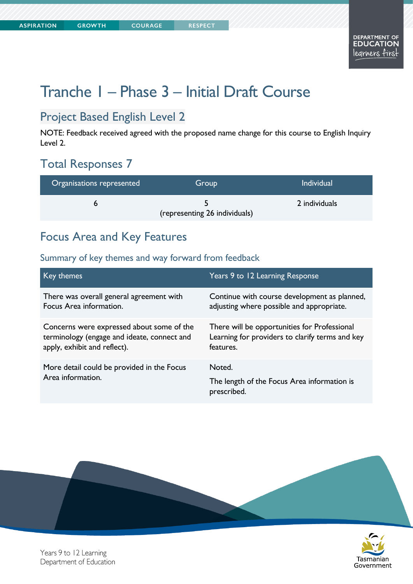**COURAGE** 

Tasmanian

Government

# Tranche 1 – Phase 3 – Initial Draft Course

## Project Based English Level 2

NOTE: Feedback received agreed with the proposed name change for this course to English Inquiry Level 2.

# Total Responses 7

| Organisations represented | Group                         | <b>Individual</b> |
|---------------------------|-------------------------------|-------------------|
|                           | (representing 26 individuals) | 2 individuals     |

## Focus Area and Key Features

### Summary of key themes and way forward from feedback

| Key themes                                                      | Years 9 to 12 Learning Response                                      |
|-----------------------------------------------------------------|----------------------------------------------------------------------|
| There was overall general agreement with                        | Continue with course development as planned,                         |
| Focus Area information.                                         | adjusting where possible and appropriate.                            |
| Concerns were expressed about some of the                       | There will be opportunities for Professional                         |
| terminology (engage and ideate, connect and                     | Learning for providers to clarify terms and key                      |
| apply, exhibit and reflect).                                    | features.                                                            |
| More detail could be provided in the Focus<br>Area information. | Noted.<br>The length of the Focus Area information is<br>prescribed. |



Years 9 to 12 Learning Department of Education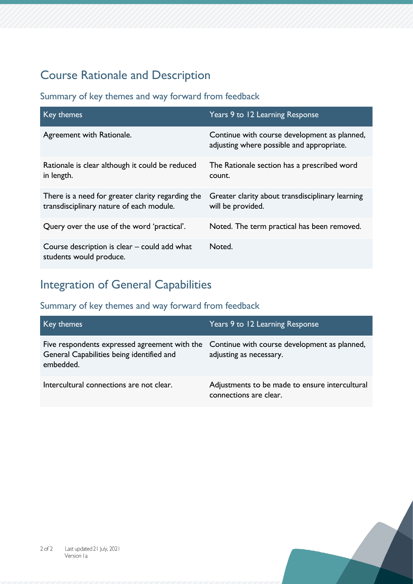# Course Rationale and Description

### Summary of key themes and way forward from feedback

| Key themes                                                                                    | Years 9 to 12 Learning Response                                                           |
|-----------------------------------------------------------------------------------------------|-------------------------------------------------------------------------------------------|
| Agreement with Rationale.                                                                     | Continue with course development as planned,<br>adjusting where possible and appropriate. |
| Rationale is clear although it could be reduced<br>in length.                                 | The Rationale section has a prescribed word<br>count.                                     |
| There is a need for greater clarity regarding the<br>transdisciplinary nature of each module. | Greater clarity about transdisciplinary learning<br>will be provided.                     |
| Query over the use of the word 'practical'.                                                   | Noted. The term practical has been removed.                                               |
| Course description is clear – could add what<br>students would produce.                       | Noted.                                                                                    |

## Integration of General Capabilities

| Key themes                                                                                                                                           | Years 9 to 12 Learning Response                                          |
|------------------------------------------------------------------------------------------------------------------------------------------------------|--------------------------------------------------------------------------|
| Five respondents expressed agreement with the Continue with course development as planned,<br>General Capabilities being identified and<br>embedded. | adjusting as necessary.                                                  |
| Intercultural connections are not clear.                                                                                                             | Adjustments to be made to ensure intercultural<br>connections are clear. |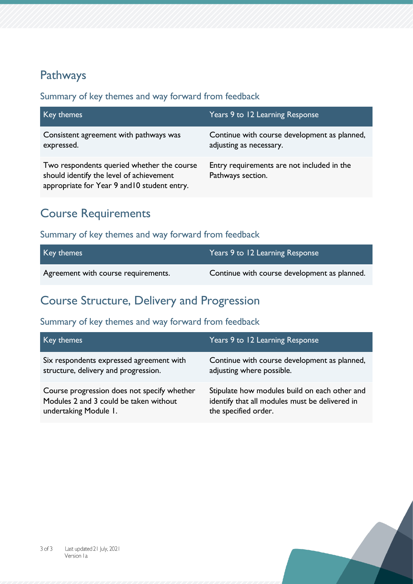## Pathways

#### Summary of key themes and way forward from feedback

| Key themes                                                                                                                             | Years 9 to 12 Learning Response                                         |
|----------------------------------------------------------------------------------------------------------------------------------------|-------------------------------------------------------------------------|
| Consistent agreement with pathways was<br>expressed.                                                                                   | Continue with course development as planned,<br>adjusting as necessary. |
| Two respondents queried whether the course<br>should identify the level of achievement<br>appropriate for Year 9 and 10 student entry. | Entry requirements are not included in the<br>Pathways section.         |

## Course Requirements

## Summary of key themes and way forward from feedback

| Key themes                          | Years 9 to 12 Learning Response              |
|-------------------------------------|----------------------------------------------|
| Agreement with course requirements. | Continue with course development as planned. |

## Course Structure, Delivery and Progression

| Key themes                                  | Years 9 to 12 Learning Response                |
|---------------------------------------------|------------------------------------------------|
| Six respondents expressed agreement with    | Continue with course development as planned,   |
| structure, delivery and progression.        | adjusting where possible.                      |
| Course progression does not specify whether | Stipulate how modules build on each other and  |
| Modules 2 and 3 could be taken without      | identify that all modules must be delivered in |
| undertaking Module 1.                       | the specified order.                           |

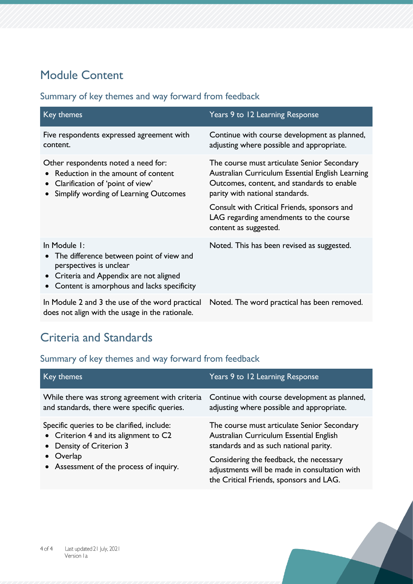# Module Content

## Summary of key themes and way forward from feedback

| Key themes                                                                                                                                                                              | Years 9 to 12 Learning Response                                                                                                                                                                                                                                                                    |
|-----------------------------------------------------------------------------------------------------------------------------------------------------------------------------------------|----------------------------------------------------------------------------------------------------------------------------------------------------------------------------------------------------------------------------------------------------------------------------------------------------|
| Five respondents expressed agreement with<br>content.                                                                                                                                   | Continue with course development as planned,<br>adjusting where possible and appropriate.                                                                                                                                                                                                          |
| Other respondents noted a need for:<br>Reduction in the amount of content<br>Clarification of 'point of view'<br>Simplify wording of Learning Outcomes                                  | The course must articulate Senior Secondary<br>Australian Curriculum Essential English Learning<br>Outcomes, content, and standards to enable<br>parity with national standards.<br>Consult with Critical Friends, sponsors and<br>LAG regarding amendments to the course<br>content as suggested. |
| In Module 1:<br>The difference between point of view and<br>perspectives is unclear<br>Criteria and Appendix are not aligned<br>Content is amorphous and lacks specificity<br>$\bullet$ | Noted. This has been revised as suggested.                                                                                                                                                                                                                                                         |
| In Module 2 and 3 the use of the word practical<br>does not align with the usage in the rationale.                                                                                      | Noted. The word practical has been removed.                                                                                                                                                                                                                                                        |

# Criteria and Standards

| Key themes                                         | Years 9 to 12 Learning Response                                                                                                     |
|----------------------------------------------------|-------------------------------------------------------------------------------------------------------------------------------------|
| While there was strong agreement with criteria     | Continue with course development as planned,                                                                                        |
| and standards, there were specific queries.        | adjusting where possible and appropriate.                                                                                           |
| Specific queries to be clarified, include:         | The course must articulate Senior Secondary                                                                                         |
| • Criterion 4 and its alignment to C2              | Australian Curriculum Essential English                                                                                             |
| • Density of Criterion 3                           | standards and as such national parity.                                                                                              |
| Overlap<br>• Assessment of the process of inquiry. | Considering the feedback, the necessary<br>adjustments will be made in consultation with<br>the Critical Friends, sponsors and LAG. |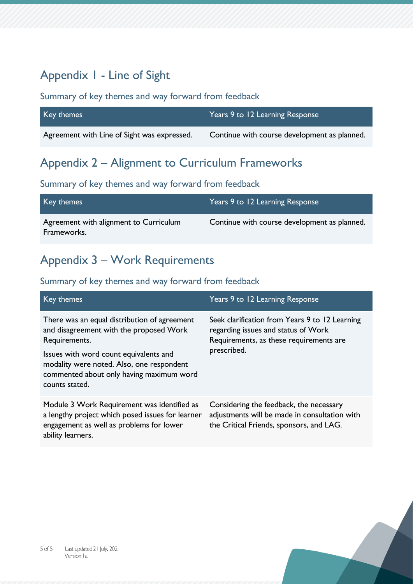# Appendix 1 - Line of Sight

#### Summary of key themes and way forward from feedback

| Key themes                                  | Years 9 to 12 Learning Response              |
|---------------------------------------------|----------------------------------------------|
| Agreement with Line of Sight was expressed. | Continue with course development as planned. |

## Appendix 2 – Alignment to Curriculum Frameworks

#### Summary of key themes and way forward from feedback

| Key themes                                            | Years 9 to 12 Learning Response              |
|-------------------------------------------------------|----------------------------------------------|
| Agreement with alignment to Curriculum<br>Frameworks. | Continue with course development as planned. |

## Appendix 3 – Work Requirements

| Key themes                                                                                                                                                       | Years 9 to 12 Learning Response                                                                                                                 |
|------------------------------------------------------------------------------------------------------------------------------------------------------------------|-------------------------------------------------------------------------------------------------------------------------------------------------|
| There was an equal distribution of agreement<br>and disagreement with the proposed Work<br>Requirements.                                                         | Seek clarification from Years 9 to 12 Learning<br>regarding issues and status of Work<br>Requirements, as these requirements are<br>prescribed. |
| Issues with word count equivalents and<br>modality were noted. Also, one respondent<br>commented about only having maximum word<br>counts stated.                |                                                                                                                                                 |
| Module 3 Work Requirement was identified as<br>a lengthy project which posed issues for learner<br>engagement as well as problems for lower<br>ability learners. | Considering the feedback, the necessary<br>adjustments will be made in consultation with<br>the Critical Friends, sponsors, and LAG.            |